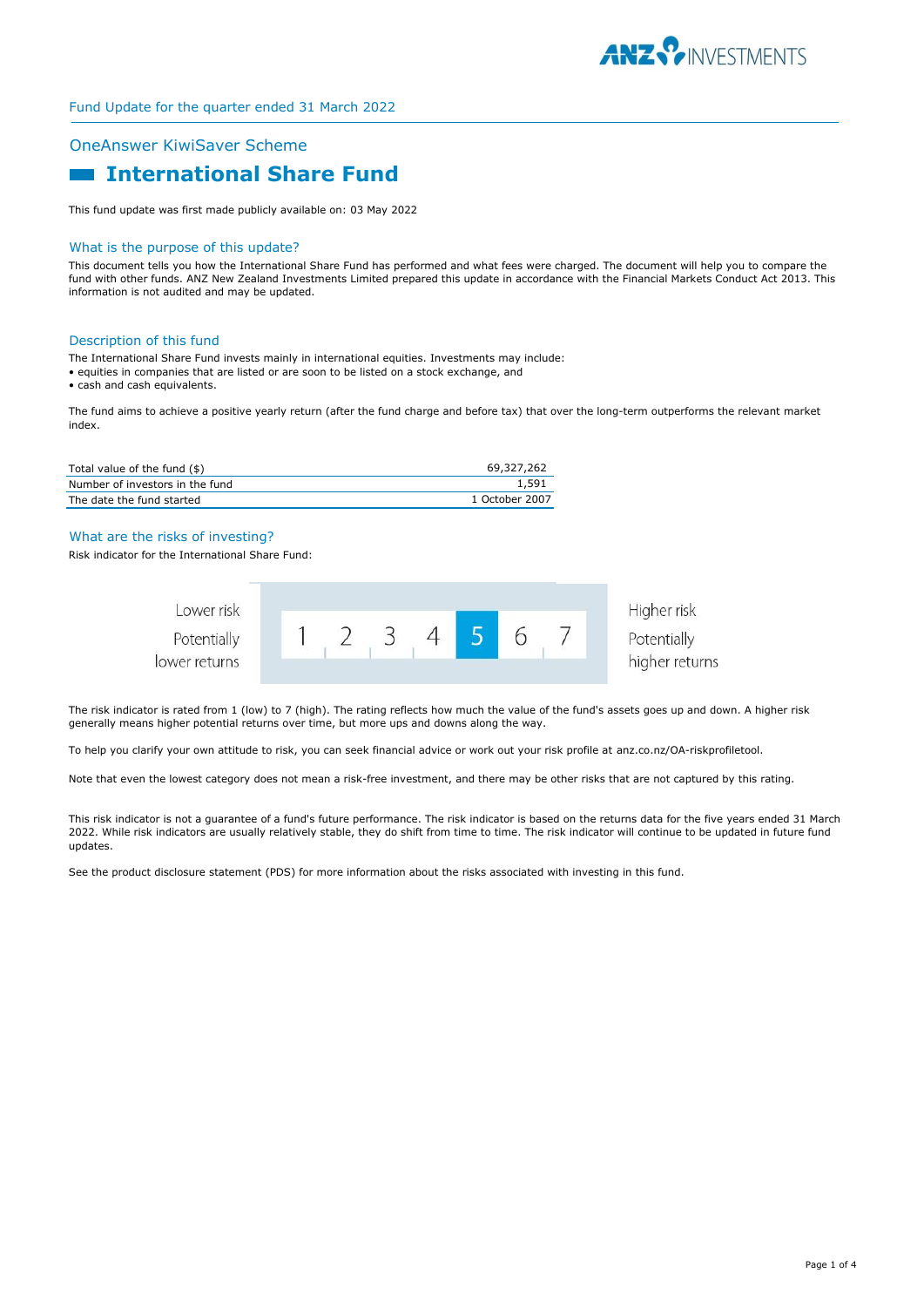

## OneAnswer KiwiSaver Scheme

# **International Share Fund**

This fund update was first made publicly available on: 03 May 2022

#### What is the purpose of this update?

This document tells you how the International Share Fund has performed and what fees were charged. The document will help you to compare the fund with other funds. ANZ New Zealand Investments Limited prepared this update in accordance with the Financial Markets Conduct Act 2013. This information is not audited and may be updated.

#### Description of this fund

The International Share Fund invests mainly in international equities. Investments may include:

- equities in companies that are listed or are soon to be listed on a stock exchange, and
- cash and cash equivalents.

The fund aims to achieve a positive yearly return (after the fund charge and before tax) that over the long-term outperforms the relevant market index.

| Total value of the fund (\$)    | 69.327.262     |
|---------------------------------|----------------|
| Number of investors in the fund | 1,591          |
| The date the fund started       | 1 October 2007 |

## What are the risks of investing?

Risk indicator for the International Share Fund:



The risk indicator is rated from 1 (low) to 7 (high). The rating reflects how much the value of the fund's assets goes up and down. A higher risk generally means higher potential returns over time, but more ups and downs along the way.

To help you clarify your own attitude to risk, you can seek financial advice or work out your risk profile at anz.co.nz/OA-riskprofiletool.

Note that even the lowest category does not mean a risk-free investment, and there may be other risks that are not captured by this rating.

This risk indicator is not a guarantee of a fund's future performance. The risk indicator is based on the returns data for the five years ended 31 March 2022. While risk indicators are usually relatively stable, they do shift from time to time. The risk indicator will continue to be updated in future fund updates.

See the product disclosure statement (PDS) for more information about the risks associated with investing in this fund.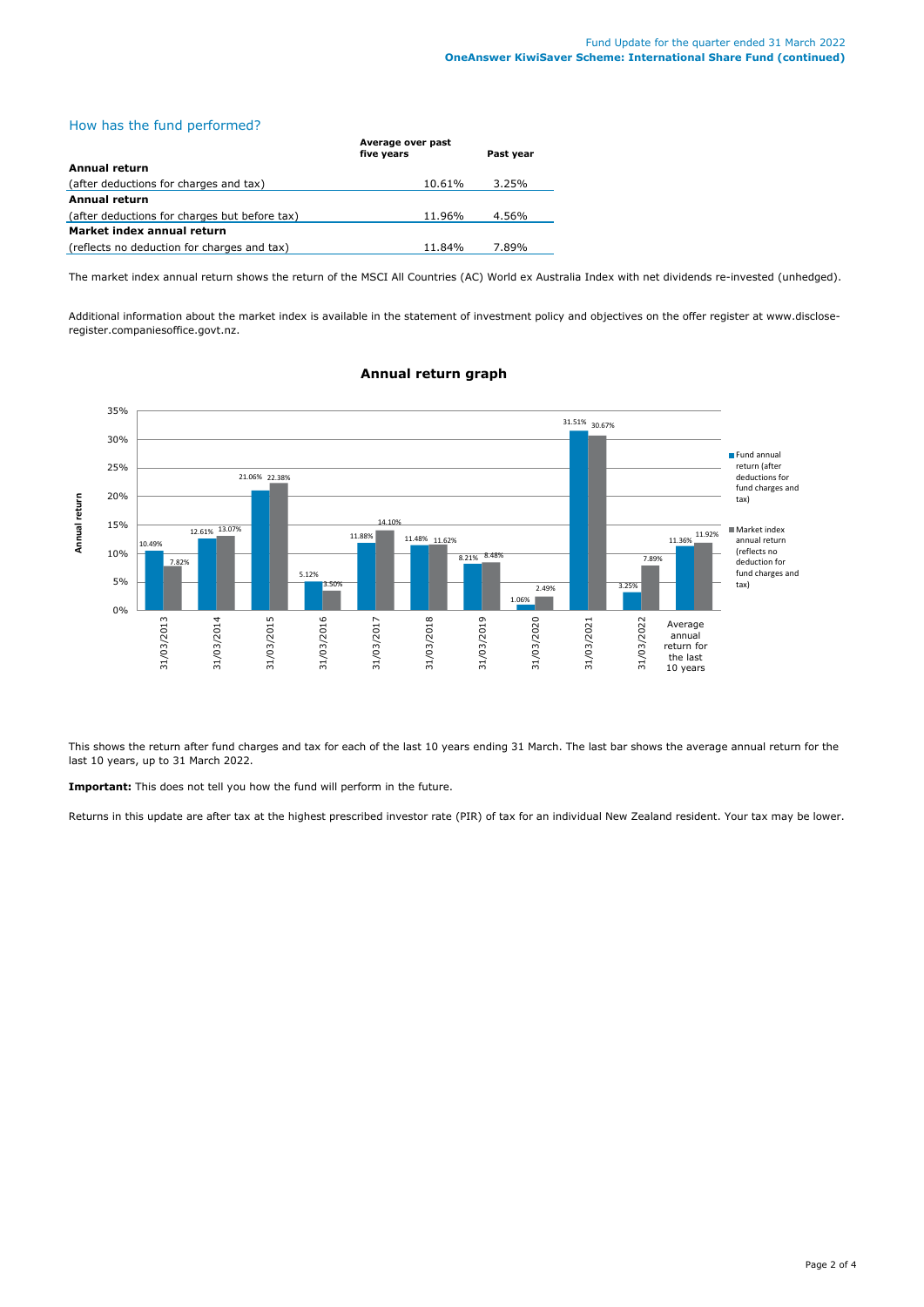# How has the fund performed?

|                                               | Average over past<br>five years | Past year |
|-----------------------------------------------|---------------------------------|-----------|
| Annual return                                 |                                 |           |
| (after deductions for charges and tax)        | 10.61%                          | 3.25%     |
| Annual return                                 |                                 |           |
| (after deductions for charges but before tax) | 11.96%                          | 4.56%     |
| Market index annual return                    |                                 |           |
| (reflects no deduction for charges and tax)   | 11.84%                          | 7.89%     |

The market index annual return shows the return of the MSCI All Countries (AC) World ex Australia Index with net dividends re-invested (unhedged).

Additional information about the market index is available in the statement of investment policy and objectives on the offer register at www.discloseregister.companiesoffice.govt.nz.



# **Annual return graph**

This shows the return after fund charges and tax for each of the last 10 years ending 31 March. The last bar shows the average annual return for the last 10 years, up to 31 March 2022.

**Important:** This does not tell you how the fund will perform in the future.

Returns in this update are after tax at the highest prescribed investor rate (PIR) of tax for an individual New Zealand resident. Your tax may be lower.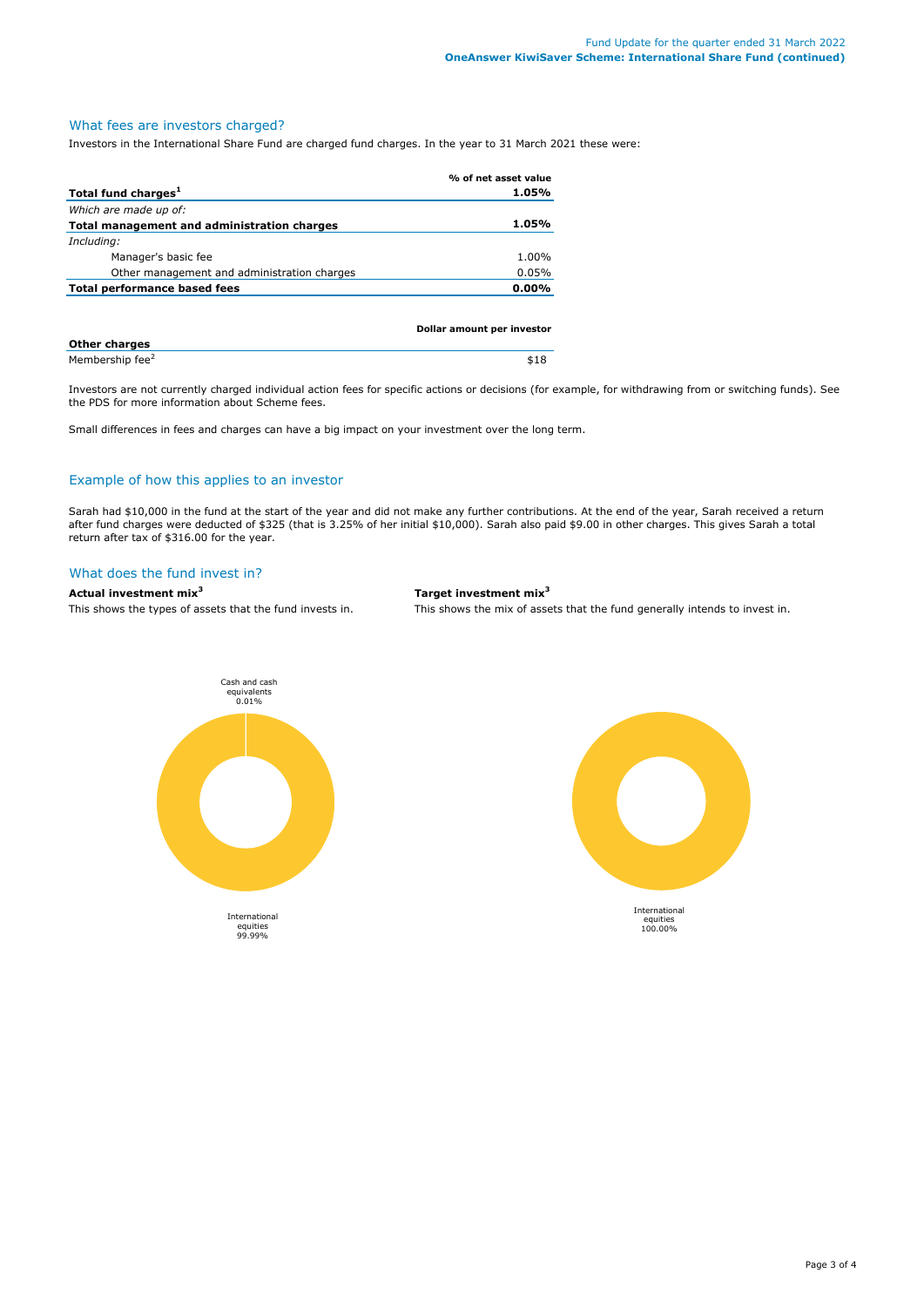# What fees are investors charged?

Investors in the International Share Fund are charged fund charges. In the year to 31 March 2021 these were:

|                                             | % of net asset value       |
|---------------------------------------------|----------------------------|
| Total fund charges <sup>1</sup>             | 1.05%                      |
| Which are made up of:                       |                            |
| Total management and administration charges | 1.05%                      |
| Including:                                  |                            |
| Manager's basic fee                         | 1.00%                      |
| Other management and administration charges | 0.05%                      |
| Total performance based fees                | $0.00\%$                   |
|                                             |                            |
|                                             |                            |
|                                             | Dollar amount per investor |

| <b>Other charges</b>        |      |
|-----------------------------|------|
| Membership fee <sup>2</sup> | \$18 |

Investors are not currently charged individual action fees for specific actions or decisions (for example, for withdrawing from or switching funds). See the PDS for more information about Scheme fees.

Small differences in fees and charges can have a big impact on your investment over the long term.

## Example of how this applies to an investor

Sarah had \$10,000 in the fund at the start of the year and did not make any further contributions. At the end of the year, Sarah received a return after fund charges were deducted of \$325 (that is 3.25% of her initial \$10,000). Sarah also paid \$9.00 in other charges. This gives Sarah a total return after tax of \$316.00 for the year.

#### What does the fund invest in?

# **Actual investment mix<sup>3</sup> Target investment mix<sup>3</sup>**

This shows the types of assets that the fund invests in. This shows the mix of assets that the fund generally intends to invest in.



International equities 100.00%